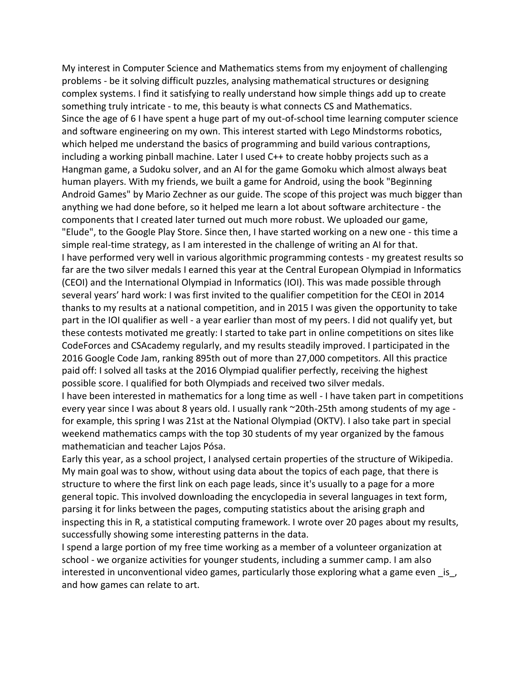My interest in Computer Science and Mathematics stems from my enjoyment of challenging problems - be it solving difficult puzzles, analysing mathematical structures or designing complex systems. I find it satisfying to really understand how simple things add up to create something truly intricate - to me, this beauty is what connects CS and Mathematics. Since the age of 6 I have spent a huge part of my out-of-school time learning computer science and software engineering on my own. This interest started with Lego Mindstorms robotics, which helped me understand the basics of programming and build various contraptions, including a working pinball machine. Later I used C++ to create hobby projects such as a Hangman game, a Sudoku solver, and an AI for the game Gomoku which almost always beat human players. With my friends, we built a game for Android, using the book "Beginning Android Games" by Mario Zechner as our guide. The scope of this project was much bigger than anything we had done before, so it helped me learn a lot about software architecture - the components that I created later turned out much more robust. We uploaded our game, "Elude", to the Google Play Store. Since then, I have started working on a new one - this time a simple real-time strategy, as I am interested in the challenge of writing an AI for that. I have performed very well in various algorithmic programming contests - my greatest results so far are the two silver medals I earned this year at the Central European Olympiad in Informatics (CEOI) and the International Olympiad in Informatics (IOI). This was made possible through several years' hard work: I was first invited to the qualifier competition for the CEOI in 2014 thanks to my results at a national competition, and in 2015 I was given the opportunity to take part in the IOI qualifier as well - a year earlier than most of my peers. I did not qualify yet, but these contests motivated me greatly: I started to take part in online competitions on sites like CodeForces and CSAcademy regularly, and my results steadily improved. I participated in the 2016 Google Code Jam, ranking 895th out of more than 27,000 competitors. All this practice paid off: I solved all tasks at the 2016 Olympiad qualifier perfectly, receiving the highest possible score. I qualified for both Olympiads and received two silver medals.

I have been interested in mathematics for a long time as well - I have taken part in competitions every year since I was about 8 years old. I usually rank ~20th-25th among students of my age for example, this spring I was 21st at the National Olympiad (OKTV). I also take part in special weekend mathematics camps with the top 30 students of my year organized by the famous mathematician and teacher Lajos Pósa.

Early this year, as a school project, I analysed certain properties of the structure of Wikipedia. My main goal was to show, without using data about the topics of each page, that there is structure to where the first link on each page leads, since it's usually to a page for a more general topic. This involved downloading the encyclopedia in several languages in text form, parsing it for links between the pages, computing statistics about the arising graph and inspecting this in R, a statistical computing framework. I wrote over 20 pages about my results, successfully showing some interesting patterns in the data.

I spend a large portion of my free time working as a member of a volunteer organization at school - we organize activities for younger students, including a summer camp. I am also interested in unconventional video games, particularly those exploring what a game even \_is\_, and how games can relate to art.